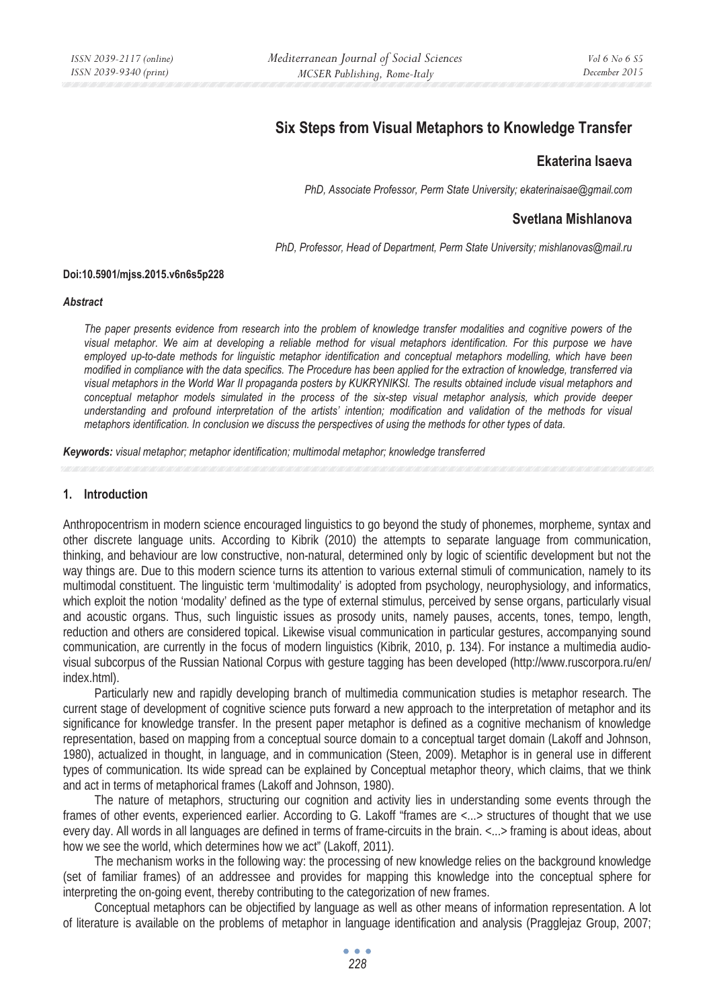# **Six Steps from Visual Metaphors to Knowledge Transfer**

## **Ekaterina Isaeva**

*PhD, Associate Professor, Perm State University; ekaterinaisae@gmail.com* 

# **Svetlana Mishlanova**

*PhD, Professor, Head of Department, Perm State University; mishlanovas@mail.ru* 

#### **Doi:10.5901/mjss.2015.v6n6s5p228**

#### *Abstract*

*The paper presents evidence from research into the problem of knowledge transfer modalities and cognitive powers of the*  visual metaphor. We aim at developing a reliable method for visual metaphors identification. For this purpose we have *employed up-to-date methods for linguistic metaphor identification and conceptual metaphors modelling, which have been modified in compliance with the data specifics. The Procedure has been applied for the extraction of knowledge, transferred via visual metaphors in the World War II propaganda posters by KUKRYNIKSI. The results obtained include visual metaphors and conceptual metaphor models simulated in the process of the six-step visual metaphor analysis, which provide deeper understanding and profound interpretation of the artists' intention; modification and validation of the methods for visual metaphors identification. In conclusion we discuss the perspectives of using the methods for other types of data.* 

*Keywords: visual metaphor; metaphor identification; multimodal metaphor; knowledge transferred*

#### **1. Introduction**

Anthropocentrism in modern science encouraged linguistics to go beyond the study of phonemes, morpheme, syntax and other discrete language units. According to Kibrik (2010) the attempts to separate language from communication, thinking, and behaviour are low constructive, non-natural, determined only by logic of scientific development but not the way things are. Due to this modern science turns its attention to various external stimuli of communication, namely to its multimodal constituent. The linguistic term 'multimodality' is adopted from psychology, neurophysiology, and informatics, which exploit the notion 'modality' defined as the type of external stimulus, perceived by sense organs, particularly visual and acoustic organs. Thus, such linguistic issues as prosody units, namely pauses, accents, tones, tempo, length, reduction and others are considered topical. Likewise visual communication in particular gestures, accompanying sound communication, are currently in the focus of modern linguistics (Kibrik, 2010, p. 134). For instance a multimedia audiovisual subcorpus of the Russian National Corpus with gesture tagging has been developed (http://www.ruscorpora.ru/en/ index.html).

Particularly new and rapidly developing branch of multimedia communication studies is metaphor research. The current stage of development of cognitive science puts forward a new approach to the interpretation of metaphor and its significance for knowledge transfer. In the present paper metaphor is defined as a cognitive mechanism of knowledge representation, based on mapping from a conceptual source domain to a conceptual target domain (Lakoff and Johnson, 1980), actualized in thought, in language, and in communication (Steen, 2009). Metaphor is in general use in different types of communication. Its wide spread can be explained by Conceptual metaphor theory, which claims, that we think and act in terms of metaphorical frames (Lakoff and Johnson, 1980).

The nature of metaphors, structuring our cognition and activity lies in understanding some events through the frames of other events, experienced earlier. According to G. Lakoff "frames are <...> structures of thought that we use every day. All words in all languages are defined in terms of frame-circuits in the brain. <...> framing is about ideas, about how we see the world, which determines how we act" (Lakoff, 2011).

The mechanism works in the following way: the processing of new knowledge relies on the background knowledge (set of familiar frames) of an addressee and provides for mapping this knowledge into the conceptual sphere for interpreting the on-going event, thereby contributing to the categorization of new frames.

Conceptual metaphors can be objectified by language as well as other means of information representation. A lot of literature is available on the problems of metaphor in language identification and analysis (Pragglejaz Group, 2007;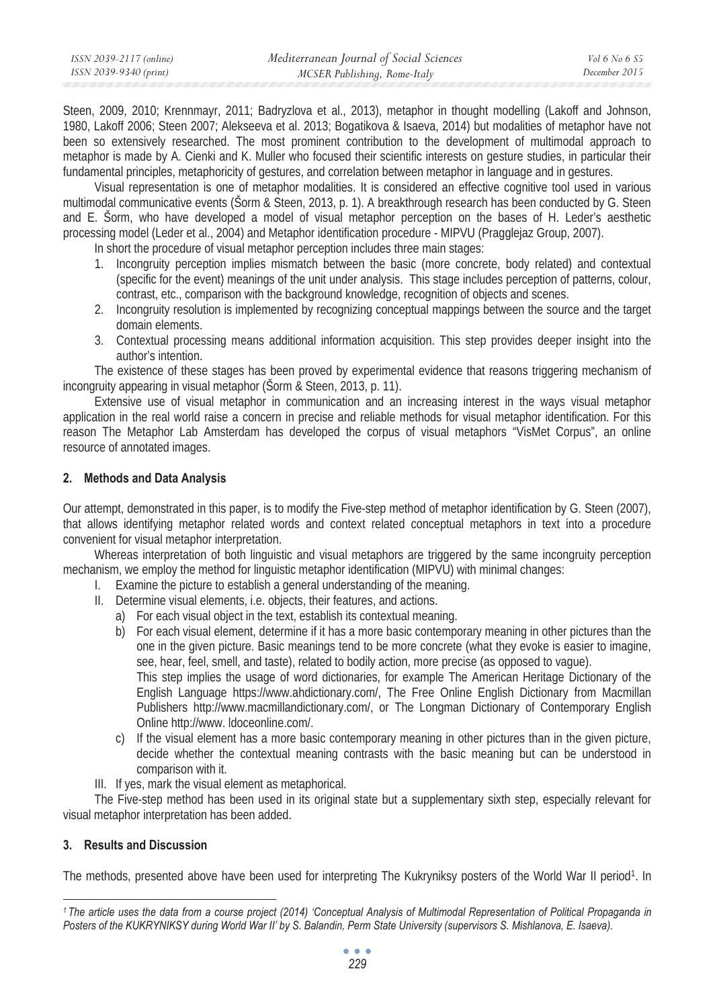| ISSN 2039-2117 (online) | Mediterranean Journal of Social Sciences | Vol 6 No 6 S5 |
|-------------------------|------------------------------------------|---------------|
| ISSN 2039-9340 (print)  | MCSER Publishing, Rome-Italy             | December 2015 |

Steen, 2009, 2010; Krennmayr, 2011; Badryzlova et al., 2013), metaphor in thought modelling (Lakoff and Johnson, 1980, Lakoff 2006; Steen 2007; Alekseeva et al. 2013; Bogatikova & Isaeva, 2014) but modalities of metaphor have not been so extensively researched. The most prominent contribution to the development of multimodal approach to metaphor is made by A. Cienki and K. Muller who focused their scientific interests on gesture studies, in particular their fundamental principles, metaphoricity of gestures, and correlation between metaphor in language and in gestures.

Visual representation is one of metaphor modalities. It is considered an effective cognitive tool used in various multimodal communicative events (Šorm & Steen, 2013, p. 1). A breakthrough research has been conducted by G. Steen and E. Šorm, who have developed a model of visual metaphor perception on the bases of H. Leder's aesthetic processing model (Leder et al., 2004) and Metaphor identification procedure - MIPVU (Pragglejaz Group, 2007).

In short the procedure of visual metaphor perception includes three main stages:

- 1. Incongruity perception implies mismatch between the basic (more concrete, body related) and contextual (specific for the event) meanings of the unit under analysis. This stage includes perception of patterns, colour, contrast, etc., comparison with the background knowledge, recognition of objects and scenes.
- 2. Incongruity resolution is implemented by recognizing conceptual mappings between the source and the target domain elements.
- 3. Contextual processing means additional information acquisition. This step provides deeper insight into the author's intention.

The existence of these stages has been proved by experimental evidence that reasons triggering mechanism of incongruity appearing in visual metaphor (Šorm & Steen, 2013, p. 11).

Extensive use of visual metaphor in communication and an increasing interest in the ways visual metaphor application in the real world raise a concern in precise and reliable methods for visual metaphor identification. For this reason The Metaphor Lab Amsterdam has developed the corpus of visual metaphors "VisMet Corpus", an online resource of annotated images.

## **2. Methods and Data Analysis**

Our attempt, demonstrated in this paper, is to modify the Five-step method of metaphor identification by G. Steen (2007), that allows identifying metaphor related words and context related conceptual metaphors in text into a procedure convenient for visual metaphor interpretation.

Whereas interpretation of both linguistic and visual metaphors are triggered by the same incongruity perception mechanism, we employ the method for linguistic metaphor identification (MIPVU) with minimal changes:

- I. Examine the picture to establish a general understanding of the meaning.
- II. Determine visual elements, i.e. objects, their features, and actions.
	- a) For each visual object in the text, establish its contextual meaning.
	- b) For each visual element, determine if it has a more basic contemporary meaning in other pictures than the one in the given picture. Basic meanings tend to be more concrete (what they evoke is easier to imagine, see, hear, feel, smell, and taste), related to bodily action, more precise (as opposed to vague). This step implies the usage of word dictionaries, for example The American Heritage Dictionary of the

English Language https://www.ahdictionary.com/, The Free Online English Dictionary from Macmillan Publishers http://www.macmillandictionary.com/, or The Longman Dictionary of Contemporary English Online http://www. ldoceonline.com/.

- c) If the visual element has a more basic contemporary meaning in other pictures than in the given picture, decide whether the contextual meaning contrasts with the basic meaning but can be understood in comparison with it.
- III. If yes, mark the visual element as metaphorical.

The Five-step method has been used in its original state but a supplementary sixth step, especially relevant for visual metaphor interpretation has been added.

# **3. Results and Discussion**

The methods, presented above have been used for interpreting The Kukryniksy posters of the World War II period<sup>1</sup>. In

*<sup>1</sup> The article uses the data from a course project (2014) 'Conceptual Analysis of Multimodal Representation of Political Propaganda in Posters of the KUKRYNIKSY during World War II' by S. Balandin, Perm State University (supervisors S. Mishlanova, E. Isaeva).*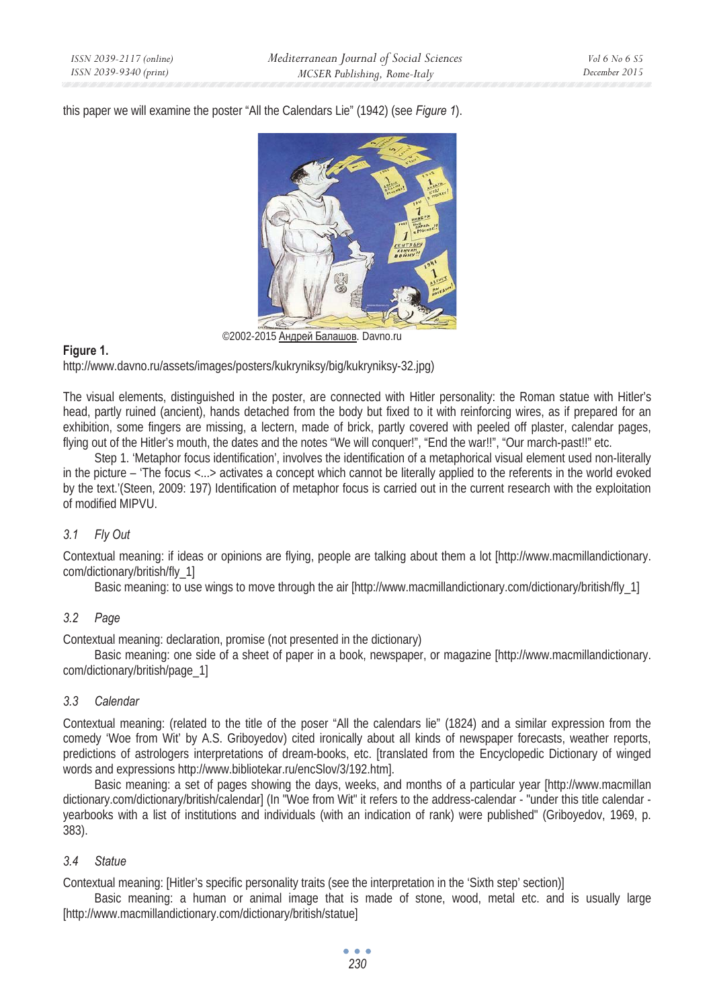this paper we will examine the poster "All the Calendars Lie" (1942) (see *Figure 1*).



©2002-2015 Андрей Балашов. Davno.ru

## **Figure 1.**

http://www.davno.ru/assets/images/posters/kukryniksy/big/kukryniksy-32.jpg)

The visual elements, distinguished in the poster, are connected with Hitler personality: the Roman statue with Hitler's head, partly ruined (ancient), hands detached from the body but fixed to it with reinforcing wires, as if prepared for an exhibition, some fingers are missing, a lectern, made of brick, partly covered with peeled off plaster, calendar pages, flying out of the Hitler's mouth, the dates and the notes "We will conquer!", "End the war!!", "Our march-past!!" etc.

Step 1. 'Metaphor focus identification', involves the identification of a metaphorical visual element used non-literally in the picture – 'The focus <...> activates a concept which cannot be literally applied to the referents in the world evoked by the text.'(Steen, 2009: 197) Identification of metaphor focus is carried out in the current research with the exploitation of modified MIPVU.

# *3.1 Fly Out*

Contextual meaning: if ideas or opinions are flying, people are talking about them a lot [http://www.macmillandictionary. com/dictionary/british/fly\_1]

Basic meaning: to use wings to move through the air [http://www.macmillandictionary.com/dictionary/british/fly\_1]

# *3.2 Page*

Contextual meaning: declaration, promise (not presented in the dictionary)

Basic meaning: one side of a sheet of paper in a book, newspaper, or magazine [http://www.macmillandictionary. com/dictionary/british/page\_1]

# *3.3 Calendar*

Contextual meaning: (related to the title of the poser "All the calendars lie" (1824) and a similar expression from the comedy 'Woe from Wit' by A.S. Griboyedov) cited ironically about all kinds of newspaper forecasts, weather reports, predictions of astrologers interpretations of dream-books, etc. [translated from the Encyclopedic Dictionary of winged words and expressions http://www.bibliotekar.ru/encSlov/3/192.htm].

Basic meaning: a set of pages showing the days, weeks, and months of a particular year [http://www.macmillan dictionary.com/dictionary/british/calendar] (In "Woe from Wit" it refers to the address-calendar - "under this title calendar yearbooks with a list of institutions and individuals (with an indication of rank) were published" (Griboyedov, 1969, p. 383).

# *3.4 Statue*

Contextual meaning: [Hitler's specific personality traits (see the interpretation in the 'Sixth step' section)]

Basic meaning: a human or animal image that is made of stone, wood, metal etc. and is usually large [http://www.macmillandictionary.com/dictionary/british/statue]

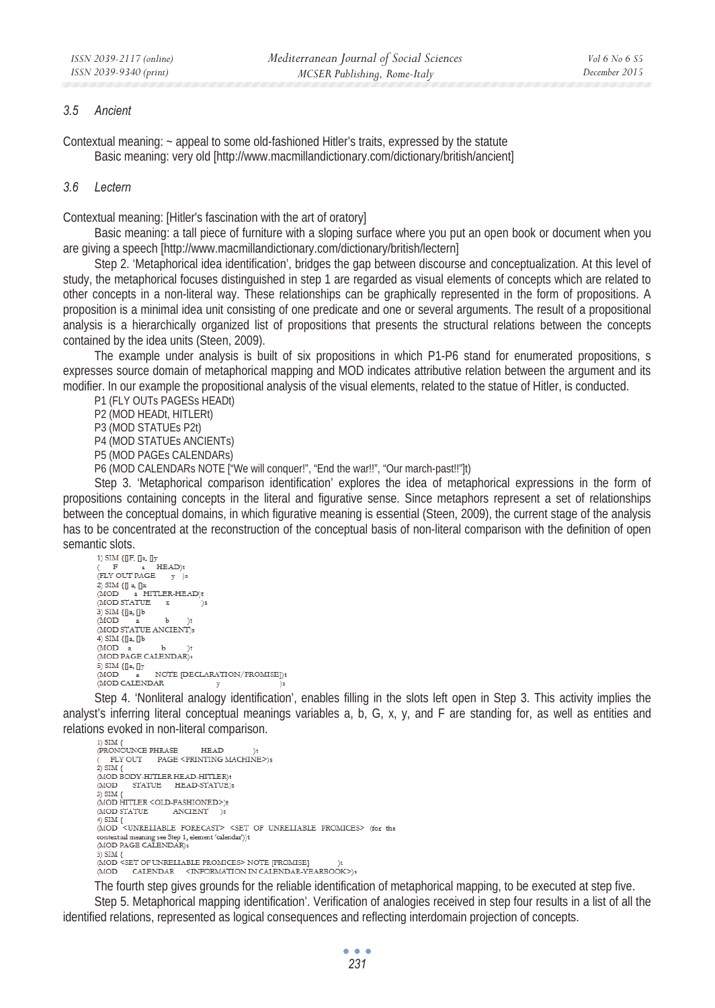#### *3.5 Ancient*

Contextual meaning: ~ appeal to some old-fashioned Hitler's traits, expressed by the statute Basic meaning: very old [http://www.macmillandictionary.com/dictionary/british/ancient]

#### *3.6 Lectern*

Contextual meaning: [Hitler's fascination with the art of oratory]

Basic meaning: a tall piece of furniture with a sloping surface where you put an open book or document when you are giving a speech [http://www.macmillandictionary.com/dictionary/british/lectern]

Step 2. 'Metaphorical idea identification', bridges the gap between discourse and conceptualization. At this level of study, the metaphorical focuses distinguished in step 1 are regarded as visual elements of concepts which are related to other concepts in a non-literal way. These relationships can be graphically represented in the form of propositions. A proposition is a minimal idea unit consisting of one predicate and one or several arguments. The result of a propositional analysis is a hierarchically organized list of propositions that presents the structural relations between the concepts contained by the idea units (Steen, 2009).

The example under analysis is built of six propositions in which P1-P6 stand for enumerated propositions, s expresses source domain of metaphorical mapping and MOD indicates attributive relation between the argument and its modifier. In our example the propositional analysis of the visual elements, related to the statue of Hitler, is conducted.

P1 (FLY OUTs PAGESs HEADt) P2 (MOD HEADt, HITLERt) P3 (MOD STATUEs P2t) P4 (MOD STATUEs ANCIENTs) P5 (MOD PAGEs CALENDARs) P6 (MOD CALENDARs NOTE ["We will conquer!", "End the war!!", "Our march-past!!"]t)

Step 3. 'Metaphorical comparison identification' explores the idea of metaphorical expressions in the form of propositions containing concepts in the literal and figurative sense. Since metaphors represent a set of relationships between the conceptual domains, in which figurative meaning is essential (Steen, 2009), the current stage of the analysis has to be concentrated at the reconstruction of the conceptual basis of non-literal comparison with the definition of open

```
\begin{array}{lll} \text{semanlic slots.}\\ \text{if } \mathbb{I}^F, \mathbb{I}^a, \mathbb{I}^F\\ \text{if } \mathbb{I}^F, \text{ and } \mathbb{I}^F\\ \text{if } \mathbb{I}^F, \text{ then } \mathbb{I}^F \end{array}(F a HEAD)t<br>(FLY OUT PAGE y )s
                                     2) SIM \left\{ \begin{bmatrix} a, \\ a \end{bmatrix} \right\} and \left\{ \begin{bmatrix} 1 \\ 2 \end{bmatrix} \right\} and \left\{ \begin{bmatrix} 1 \\ 2 \end{bmatrix} \right\} and \left\{ \begin{bmatrix} 1 \\ 2 \end{bmatrix} \right\} and \left\{ \begin{bmatrix} 1 \\ 2 \end{bmatrix} \right\} and \left\{ \begin{bmatrix} 1 \\ 2 \end{bmatrix} \right\} and \left\{ \begin{bmatrix} 1 \\ 2 \end{bmatrix} \(MOD a HILLER-1)
                                     3) SIM {[]a, []b
                                     MOD
                                                                                                           h(MOD STATUE ANCIENT)
                                      \ddot{4}) SIM {[]a, []b
                                      \overline{MOD}\begin{array}{lll} \text{(MOD} & a & b & )t \\ \text{(MOD PAGE CALENDAR)}s & & & \end{array}
```
STEM ([[4. []<sub>3</sub><br>ANOD <sup>4</sup> NOTE (DECLARATION/PROMISE)):<br>ANOD CALENDAR <sup>y</sup> <sup>3</sup><sup>5</sup> analyst's inferring literal conceptual meanings variables a, b, G, x, y, and F are standing for, as well as entities and relations evoked in non-literal comparison.<br>  $\frac{1}{2}$ SIM {<br>
(PRONOUNCE PHRASE HEAD)

```
HEAD
  FLY OUT PAGE <PRINTING MACHINE>):
\frac{1}{2} SIM \frac{1}{2}(MOD BODY-HITLER HEAD-HITLER)
(MOD \quad \text{STATE} \quad \text{HEAD-STATE}) \text{!}\ddot{3}) SIM \ell(MOD HITLER <OLD-FASHIONED>)t
                  \operatorname{ANCIENT}MOD STATUE
                                \rightarrow4) SIM \{(MOD <UNRELIABLE FORECAST> <SET OF UNRELIABLE PROMICES> (for the
contextual meaning see Step 1, element 'calendar'))t
(MOD PAGE CALENDAR)
5) STM \ell(MOD <SET OF UNRELIABLE PROMICES> NOTE [PROMISE]
        CALENDAR <INFORMATION IN CALENDAR-YEARBOOK>)s
MOD
```
The fourth step gives grounds for the reliable identification of metaphorical mapping, to be executed at step five. Step 5. Metaphorical mapping identification'. Verification of analogies received in step four results in a list of all the identified relations, represented as logical consequences and reflecting interdomain projection of concepts.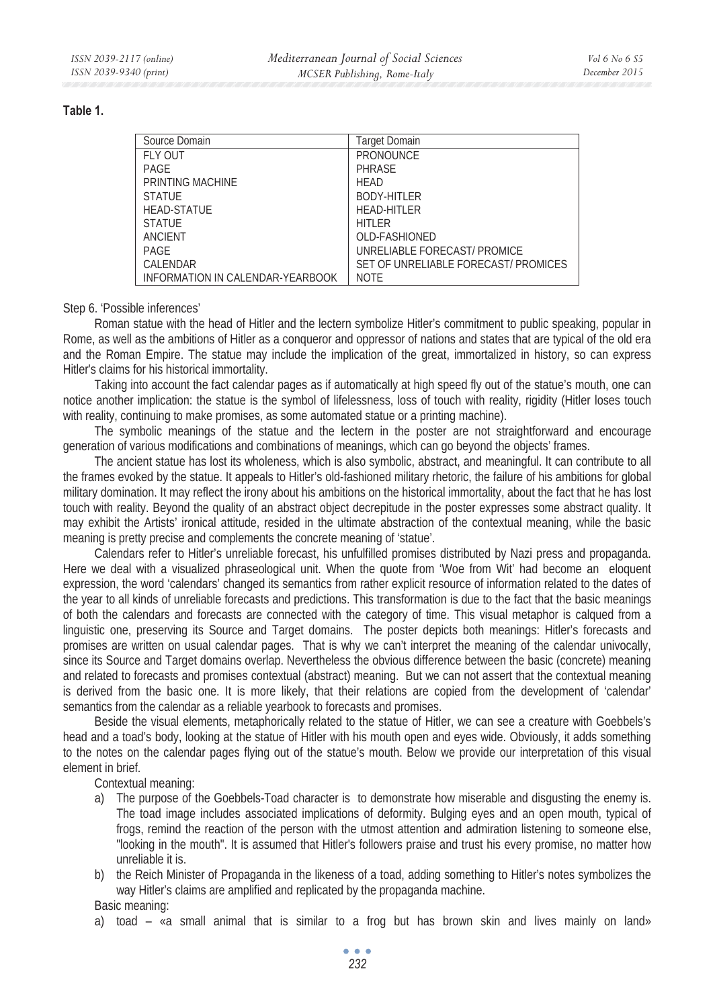#### **Table 1.**

| Source Domain                    | Target Domain                       |  |
|----------------------------------|-------------------------------------|--|
| <b>FLY OUT</b>                   | <b>PRONOUNCE</b>                    |  |
| PAGE                             | <b>PHRASE</b>                       |  |
| PRINTING MACHINE                 | <b>HFAD</b>                         |  |
| <b>STATUE</b>                    | <b>BODY-HITI FR</b>                 |  |
| <b>HEAD-STATUE</b>               | <b>HEAD-HITLER</b>                  |  |
| <b>STATUE</b>                    | <b>HITI FR</b>                      |  |
| <b>ANCIENT</b>                   | OLD-FASHIONED                       |  |
| PAGE                             | UNRELIABLE FORECAST/ PROMICE        |  |
| CALENDAR                         | SET OF UNRELIABLE FORECAST/PROMICES |  |
| INFORMATION IN CALENDAR-YEARBOOK | <b>NOTE</b>                         |  |

## Step 6. 'Possible inferences'

Roman statue with the head of Hitler and the lectern symbolize Hitler's commitment to public speaking, popular in Rome, as well as the ambitions of Hitler as a conqueror and oppressor of nations and states that are typical of the old era and the Roman Empire. The statue may include the implication of the great, immortalized in history, so can express Hitler's claims for his historical immortality.

Taking into account the fact calendar pages as if automatically at high speed fly out of the statue's mouth, one can notice another implication: the statue is the symbol of lifelessness, loss of touch with reality, rigidity (Hitler loses touch with reality, continuing to make promises, as some automated statue or a printing machine).

The symbolic meanings of the statue and the lectern in the poster are not straightforward and encourage generation of various modifications and combinations of meanings, which can go beyond the objects' frames.

The ancient statue has lost its wholeness, which is also symbolic, abstract, and meaningful. It can contribute to all the frames evoked by the statue. It appeals to Hitler's old-fashioned military rhetoric, the failure of his ambitions for global military domination. It may reflect the irony about his ambitions on the historical immortality, about the fact that he has lost touch with reality. Beyond the quality of an abstract object decrepitude in the poster expresses some abstract quality. It may exhibit the Artists' ironical attitude, resided in the ultimate abstraction of the contextual meaning, while the basic meaning is pretty precise and complements the concrete meaning of 'statue'.

Calendars refer to Hitler's unreliable forecast, his unfulfilled promises distributed by Nazi press and propaganda. Here we deal with a visualized phraseological unit. When the quote from 'Woe from Wit' had become an eloquent expression, the word 'calendars' changed its semantics from rather explicit resource of information related to the dates of the year to all kinds of unreliable forecasts and predictions. This transformation is due to the fact that the basic meanings of both the calendars and forecasts are connected with the category of time. This visual metaphor is calqued from a linguistic one, preserving its Source and Target domains. The poster depicts both meanings: Hitler's forecasts and promises are written on usual calendar pages. That is why we can't interpret the meaning of the calendar univocally, since its Source and Target domains overlap. Nevertheless the obvious difference between the basic (concrete) meaning and related to forecasts and promises contextual (abstract) meaning. But we can not assert that the contextual meaning is derived from the basic one. It is more likely, that their relations are copied from the development of 'calendar' semantics from the calendar as a reliable yearbook to forecasts and promises.

Beside the visual elements, metaphorically related to the statue of Hitler, we can see a creature with Goebbels's head and a toad's body, looking at the statue of Hitler with his mouth open and eyes wide. Obviously, it adds something to the notes on the calendar pages flying out of the statue's mouth. Below we provide our interpretation of this visual element in brief.

Contextual meaning:

- a) The purpose of the Goebbels-Toad character is to demonstrate how miserable and disgusting the enemy is. The toad image includes associated implications of deformity. Bulging eyes and an open mouth, typical of frogs, remind the reaction of the person with the utmost attention and admiration listening to someone else, "looking in the mouth". It is assumed that Hitler's followers praise and trust his every promise, no matter how unreliable it is.
- b) the Reich Minister of Propaganda in the likeness of a toad, adding something to Hitler's notes symbolizes the way Hitler's claims are amplified and replicated by the propaganda machine.

a) toad – «a small animal that is similar to a frog but has brown skin and lives mainly on land»

Basic meaning: